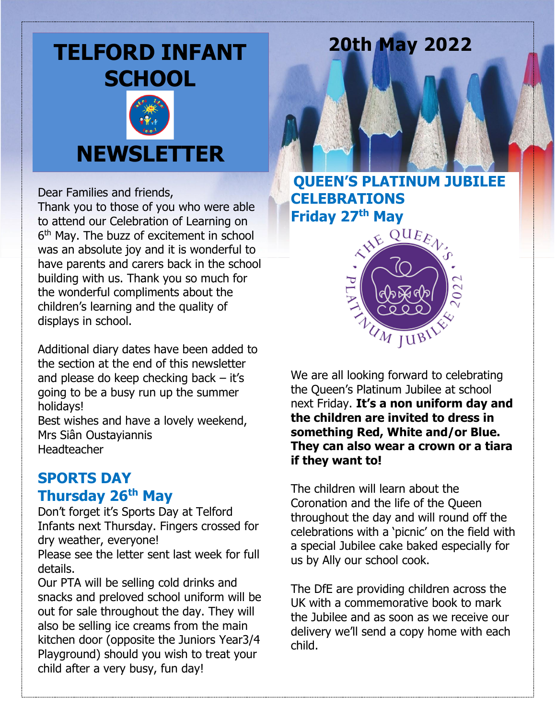# **TELFORD INFANT SCHOOL**



# **NEWSLETTER**

Dear Families and friends,

Thank you to those of you who were able to attend our Celebration of Learning on 6 th May. The buzz of excitement in school was an absolute joy and it is wonderful to have parents and carers back in the school building with us. Thank you so much for the wonderful compliments about the children's learning and the quality of displays in school.

Additional diary dates have been added to the section at the end of this newsletter and please do keep checking back – it's going to be a busy run up the summer holidays!

Best wishes and have a lovely weekend, Mrs Siân Oustayiannis Headteacher

# **SPORTS DAY Thursday 26th May**

Don't forget it's Sports Day at Telford Infants next Thursday. Fingers crossed for dry weather, everyone!

Please see the letter sent last week for full details.

Our PTA will be selling cold drinks and snacks and preloved school uniform will be out for sale throughout the day. They will also be selling ice creams from the main kitchen door (opposite the Juniors Year3/4 Playground) should you wish to treat your child after a very busy, fun day!

# **20th May 2022**

**QUEEN'S PLATINUM JUBILEE CELEBRATIONS Friday 27th May**



We are all looking forward to celebrating the Queen's Platinum Jubilee at school next Friday. **It's a non uniform day and the children are invited to dress in something Red, White and/or Blue. They can also wear a crown or a tiara if they want to!**

The children will learn about the Coronation and the life of the Queen throughout the day and will round off the celebrations with a 'picnic' on the field with a special Jubilee cake baked especially for us by Ally our school cook.

The DfE are providing children across the UK with a commemorative book to mark the Jubilee and as soon as we receive our delivery we'll send a copy home with each child.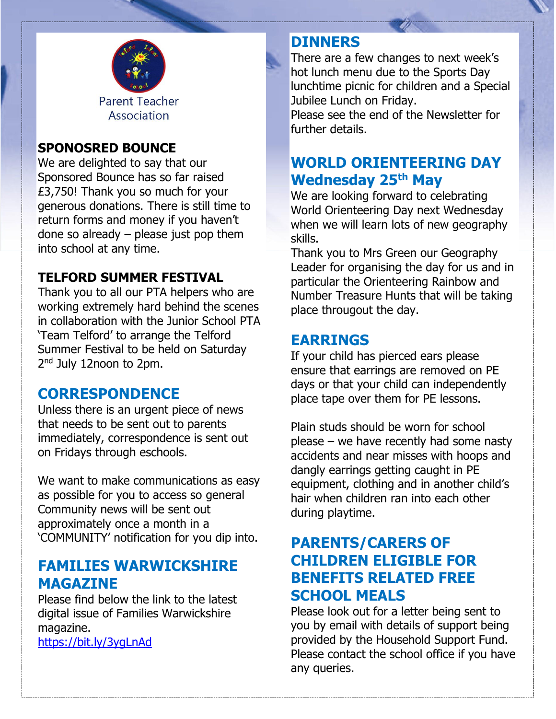

#### **SPONOSRED BOUNCE**

We are delighted to say that our Sponsored Bounce has so far raised £3,750! Thank you so much for your generous donations. There is still time to return forms and money if you haven't done so already – please just pop them into school at any time.

#### **TELFORD SUMMER FESTIVAL**

Thank you to all our PTA helpers who are working extremely hard behind the scenes in collaboration with the Junior School PTA 'Team Telford' to arrange the Telford Summer Festival to be held on Saturday 2<sup>nd</sup> July 12noon to 2pm.

#### **CORRESPONDENCE**

Unless there is an urgent piece of news that needs to be sent out to parents immediately, correspondence is sent out on Fridays through eschools.

We want to make communications as easy as possible for you to access so general Community news will be sent out approximately once a month in a 'COMMUNITY' notification for you dip into.

#### **FAMILIES WARWICKSHIRE MAGAZINE**

Please find below the link to the latest digital issue of Families Warwickshire magazine.

<https://bit.ly/3ygLnAd>

#### **DINNERS**

There are a few changes to next week's hot lunch menu due to the Sports Day lunchtime picnic for children and a Special Jubilee Lunch on Friday. Please see the end of the Newsletter for further details.

## **WORLD ORIENTEERING DAY Wednesday 25th May**

We are looking forward to celebrating World Orienteering Day next Wednesday when we will learn lots of new geography skills.

Thank you to Mrs Green our Geography Leader for organising the day for us and in particular the Orienteering Rainbow and Number Treasure Hunts that will be taking place througout the day.

#### **EARRINGS**

If your child has pierced ears please ensure that earrings are removed on PE days or that your child can independently place tape over them for PE lessons.

Plain studs should be worn for school please – we have recently had some nasty accidents and near misses with hoops and dangly earrings getting caught in PE equipment, clothing and in another child's hair when children ran into each other during playtime.

## **PARENTS/CARERS OF CHILDREN ELIGIBLE FOR BENEFITS RELATED FREE SCHOOL MEALS**

Please look out for a letter being sent to you by email with details of support being provided by the Household Support Fund. Please contact the school office if you have any queries.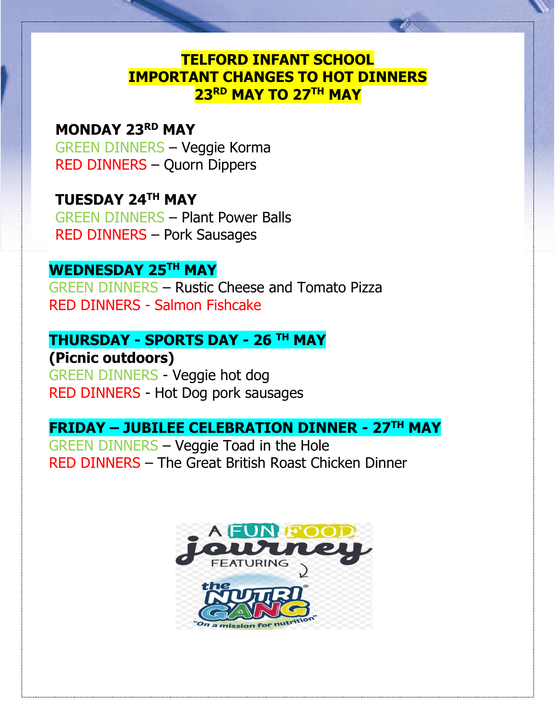## **TELFORD INFANT SCHOOL IMPORTANT CHANGES TO HOT DINNERS 23RD MAY TO 27TH MAY**

### **MONDAY 23RD MAY**

 GREEN DINNERS – Veggie Korma RED DINNERS – Quorn Dippers

# **TUESDAY 24TH MAY**

 GREEN DINNERS – Plant Power Balls RED DINNERS – Pork Sausages

## **WEDNESDAY 25TH MAY**

GREEN DINNERS – Rustic Cheese and Tomato Pizza RED DINNERS - Salmon Fishcake

### **THURSDAY - SPORTS DAY - 26 TH MAY**

**(Picnic outdoors)** GREEN DINNERS - Veggie hot dog RED DINNERS - Hot Dog pork sausages

## **FRIDAY – JUBILEE CELEBRATION DINNER - 27TH MAY**

GREEN DINNERS – Veggie Toad in the Hole RED DINNERS – The Great British Roast Chicken Dinner

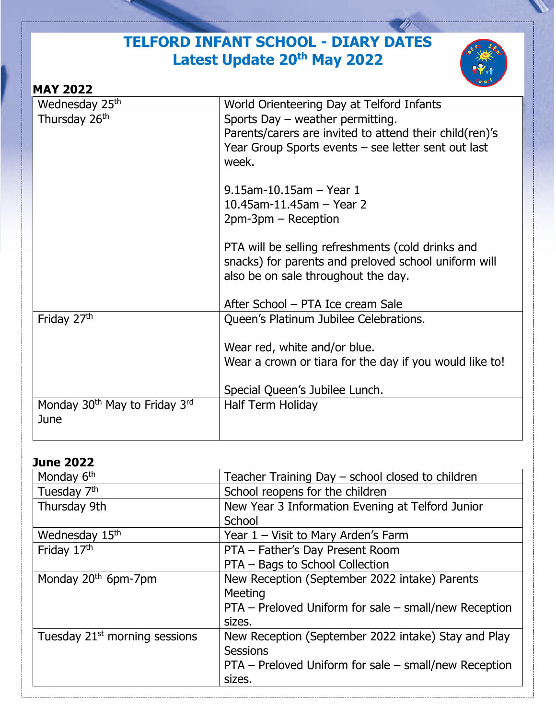# **TELFORD INFANT SCHOOL - DIARY DATES Latest Update 20th May 2022**



| <b>MAY 2022</b>                                   |                                                                                                                                                               |
|---------------------------------------------------|---------------------------------------------------------------------------------------------------------------------------------------------------------------|
| Wednesday 25 <sup>th</sup>                        | World Orienteering Day at Telford Infants                                                                                                                     |
| Thursday 26 <sup>th</sup>                         | Sports Day $-$ weather permitting.<br>Parents/carers are invited to attend their child(ren)'s<br>Year Group Sports events – see letter sent out last<br>week. |
|                                                   | $9.15$ am-10.15am - Year 1<br>10.45am-11.45am $-$ Year 2<br>$2pm-3pm - Reception$                                                                             |
|                                                   | PTA will be selling refreshments (cold drinks and<br>snacks) for parents and preloved school uniform will<br>also be on sale throughout the day.              |
|                                                   | After School – PTA Ice cream Sale                                                                                                                             |
| Friday 27th                                       | Queen's Platinum Jubilee Celebrations.                                                                                                                        |
|                                                   | Wear red, white and/or blue.                                                                                                                                  |
|                                                   | Wear a crown or tiara for the day if you would like to!                                                                                                       |
|                                                   | Special Queen's Jubilee Lunch.                                                                                                                                |
| Monday 30 <sup>th</sup> May to Friday 3rd<br>June | Half Term Holiday                                                                                                                                             |

#### **June 2022**

| Monday 6 <sup>th</sup>                    | Teacher Training Day – school closed to children      |
|-------------------------------------------|-------------------------------------------------------|
| Tuesday 7 <sup>th</sup>                   | School reopens for the children                       |
| Thursday 9th                              | New Year 3 Information Evening at Telford Junior      |
|                                           | School                                                |
| Wednesday 15th                            | Year 1 - Visit to Mary Arden's Farm                   |
| Friday 17th                               | PTA - Father's Day Present Room                       |
|                                           | PTA - Bags to School Collection                       |
| Monday 20 <sup>th</sup> 6pm-7pm           | New Reception (September 2022 intake) Parents         |
|                                           | Meeting                                               |
|                                           | PTA – Preloved Uniform for sale – small/new Reception |
|                                           | sizes.                                                |
| Tuesday 21 <sup>st</sup> morning sessions | New Reception (September 2022 intake) Stay and Play   |
|                                           | <b>Sessions</b>                                       |
|                                           | PTA – Preloved Uniform for sale – small/new Reception |
|                                           | sizes.                                                |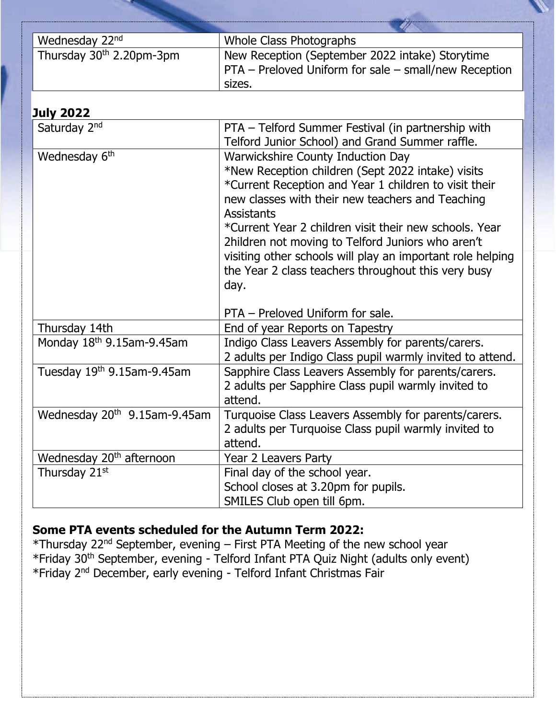| Wednesday 22nd                           | <b>Whole Class Photographs</b>                             |
|------------------------------------------|------------------------------------------------------------|
| Thursday 30 <sup>th</sup> 2.20pm-3pm     | New Reception (September 2022 intake) Storytime            |
|                                          | PTA - Preloved Uniform for sale - small/new Reception      |
|                                          | sizes.                                                     |
|                                          |                                                            |
| <b>July 2022</b>                         |                                                            |
| Saturday 2 <sup>nd</sup>                 | PTA - Telford Summer Festival (in partnership with         |
|                                          | Telford Junior School) and Grand Summer raffle.            |
| Wednesday 6 <sup>th</sup>                | <b>Warwickshire County Induction Day</b>                   |
|                                          | *New Reception children (Sept 2022 intake) visits          |
|                                          | *Current Reception and Year 1 children to visit their      |
|                                          | new classes with their new teachers and Teaching           |
|                                          | <b>Assistants</b>                                          |
|                                          | *Current Year 2 children visit their new schools. Year     |
|                                          | 2hildren not moving to Telford Juniors who aren't          |
|                                          | visiting other schools will play an important role helping |
|                                          | the Year 2 class teachers throughout this very busy        |
|                                          | day.                                                       |
|                                          |                                                            |
|                                          | PTA - Preloved Uniform for sale.                           |
| Thursday 14th                            | End of year Reports on Tapestry                            |
| Monday 18th 9.15am-9.45am                | Indigo Class Leavers Assembly for parents/carers.          |
|                                          | 2 adults per Indigo Class pupil warmly invited to attend.  |
| Tuesday 19th 9.15am-9.45am               | Sapphire Class Leavers Assembly for parents/carers.        |
|                                          | 2 adults per Sapphire Class pupil warmly invited to        |
|                                          | attend.                                                    |
| Wednesday 20 <sup>th</sup> 9.15am-9.45am | Turquoise Class Leavers Assembly for parents/carers.       |
|                                          | 2 adults per Turquoise Class pupil warmly invited to       |
|                                          | attend.                                                    |
| Wednesday 20 <sup>th</sup> afternoon     | Year 2 Leavers Party                                       |
| Thursday 21st                            | Final day of the school year.                              |
|                                          | School closes at 3.20pm for pupils.                        |
|                                          | SMILES Club open till 6pm.                                 |

### **Some PTA events scheduled for the Autumn Term 2022:**

\*Thursday 22nd September, evening – First PTA Meeting of the new school year \*Friday 30<sup>th</sup> September, evening - Telford Infant PTA Quiz Night (adults only event) \*Friday 2nd December, early evening - Telford Infant Christmas Fair